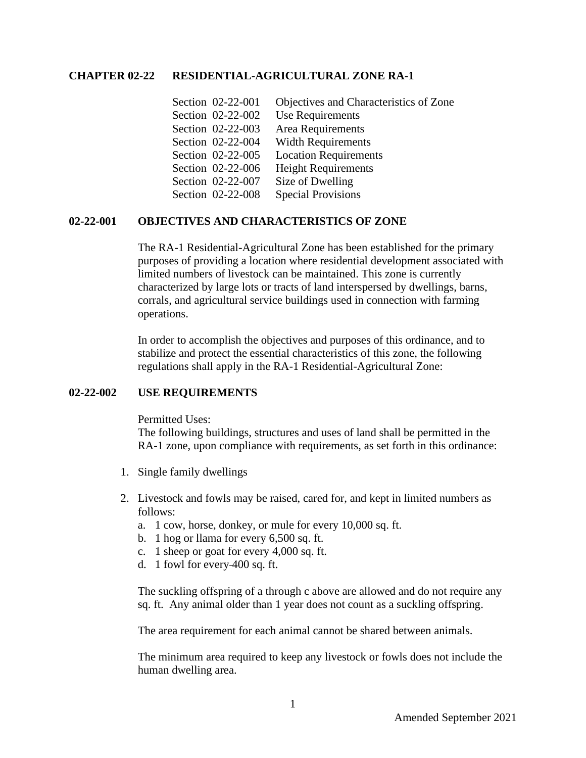#### **CHAPTER 02-22 RESIDENTIAL-AGRICULTURAL ZONE RA-1**

| Section 02-22-001 | Objectives and Characteristics of Zone |
|-------------------|----------------------------------------|
| Section 02-22-002 | Use Requirements                       |
| Section 02-22-003 | Area Requirements                      |
| Section 02-22-004 | <b>Width Requirements</b>              |
| Section 02-22-005 | <b>Location Requirements</b>           |
| Section 02-22-006 | <b>Height Requirements</b>             |
| Section 02-22-007 | Size of Dwelling                       |
| Section 02-22-008 | <b>Special Provisions</b>              |

## **02-22-001 OBJECTIVES AND CHARACTERISTICS OF ZONE**

The RA-1 Residential-Agricultural Zone has been established for the primary purposes of providing a location where residential development associated with limited numbers of livestock can be maintained. This zone is currently characterized by large lots or tracts of land interspersed by dwellings, barns, corrals, and agricultural service buildings used in connection with farming operations.

In order to accomplish the objectives and purposes of this ordinance, and to stabilize and protect the essential characteristics of this zone, the following regulations shall apply in the RA-1 Residential-Agricultural Zone:

#### **02-22-002 USE REQUIREMENTS**

Permitted Uses:

The following buildings, structures and uses of land shall be permitted in the RA-1 zone, upon compliance with requirements, as set forth in this ordinance:

- 1. Single family dwellings
- 2. Livestock and fowls may be raised, cared for, and kept in limited numbers as follows:
	- a. 1 cow, horse, donkey, or mule for every 10,000 sq. ft.
	- b. 1 hog or llama for every 6,500 sq. ft.
	- c. 1 sheep or goat for every 4,000 sq. ft.
	- d. 1 fowl for every 400 sq. ft.

The suckling offspring of a through c above are allowed and do not require any sq. ft. Any animal older than 1 year does not count as a suckling offspring.

The area requirement for each animal cannot be shared between animals.

The minimum area required to keep any livestock or fowls does not include the human dwelling area.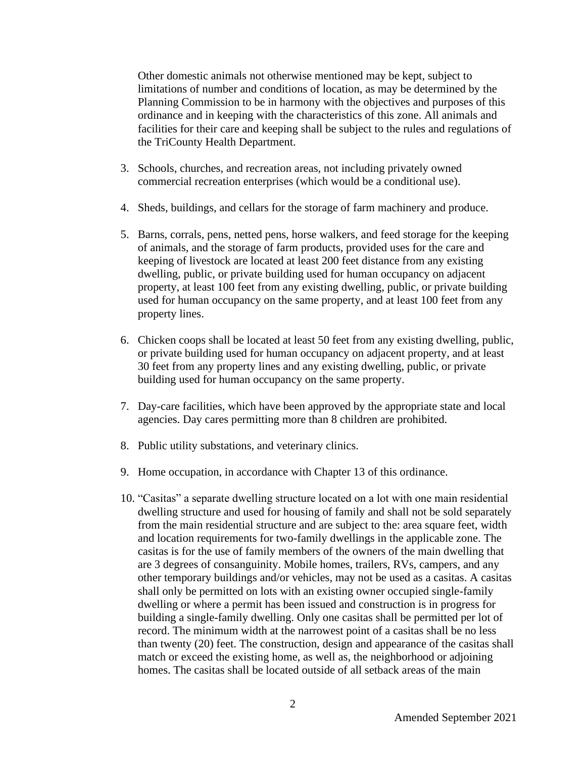Other domestic animals not otherwise mentioned may be kept, subject to limitations of number and conditions of location, as may be determined by the Planning Commission to be in harmony with the objectives and purposes of this ordinance and in keeping with the characteristics of this zone. All animals and facilities for their care and keeping shall be subject to the rules and regulations of the TriCounty Health Department.

- 3. Schools, churches, and recreation areas, not including privately owned commercial recreation enterprises (which would be a conditional use).
- 4. Sheds, buildings, and cellars for the storage of farm machinery and produce.
- 5. Barns, corrals, pens, netted pens, horse walkers, and feed storage for the keeping of animals, and the storage of farm products, provided uses for the care and keeping of livestock are located at least 200 feet distance from any existing dwelling, public, or private building used for human occupancy on adjacent property, at least 100 feet from any existing dwelling, public, or private building used for human occupancy on the same property, and at least 100 feet from any property lines.
- 6. Chicken coops shall be located at least 50 feet from any existing dwelling, public, or private building used for human occupancy on adjacent property, and at least 30 feet from any property lines and any existing dwelling, public, or private building used for human occupancy on the same property.
- 7. Day-care facilities, which have been approved by the appropriate state and local agencies. Day cares permitting more than 8 children are prohibited.
- 8. Public utility substations, and veterinary clinics.
- 9. Home occupation, in accordance with Chapter 13 of this ordinance.
- 10. "Casitas" a separate dwelling structure located on a lot with one main residential dwelling structure and used for housing of family and shall not be sold separately from the main residential structure and are subject to the: area square feet, width and location requirements for two-family dwellings in the applicable zone. The casitas is for the use of family members of the owners of the main dwelling that are 3 degrees of consanguinity. Mobile homes, trailers, RVs, campers, and any other temporary buildings and/or vehicles, may not be used as a casitas. A casitas shall only be permitted on lots with an existing owner occupied single-family dwelling or where a permit has been issued and construction is in progress for building a single-family dwelling. Only one casitas shall be permitted per lot of record. The minimum width at the narrowest point of a casitas shall be no less than twenty (20) feet. The construction, design and appearance of the casitas shall match or exceed the existing home, as well as, the neighborhood or adjoining homes. The casitas shall be located outside of all setback areas of the main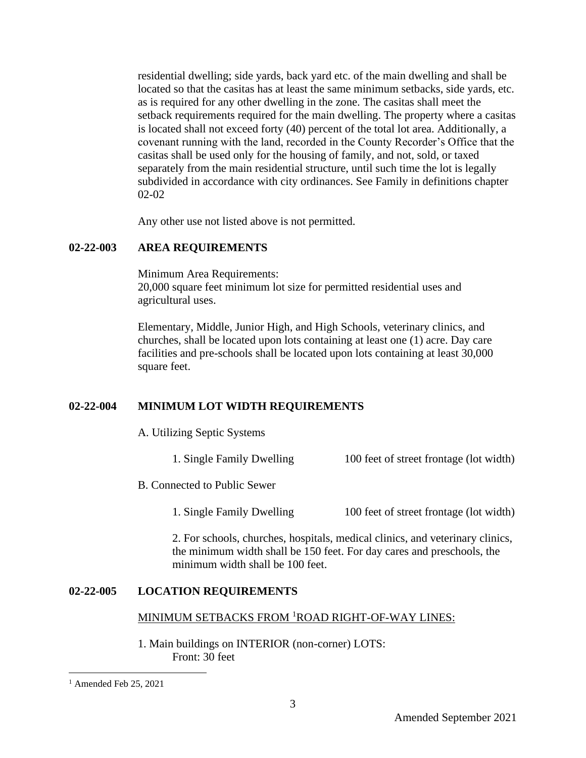residential dwelling; side yards, back yard etc. of the main dwelling and shall be located so that the casitas has at least the same minimum setbacks, side yards, etc. as is required for any other dwelling in the zone. The casitas shall meet the setback requirements required for the main dwelling. The property where a casitas is located shall not exceed forty (40) percent of the total lot area. Additionally, a covenant running with the land, recorded in the County Recorder's Office that the casitas shall be used only for the housing of family, and not, sold, or taxed separately from the main residential structure, until such time the lot is legally subdivided in accordance with city ordinances. See Family in definitions chapter 02-02

Any other use not listed above is not permitted.

### **02-22-003 AREA REQUIREMENTS**

Minimum Area Requirements:

20,000 square feet minimum lot size for permitted residential uses and agricultural uses.

Elementary, Middle, Junior High, and High Schools, veterinary clinics, and churches, shall be located upon lots containing at least one (1) acre. Day care facilities and pre-schools shall be located upon lots containing at least 30,000 square feet.

## **02-22-004 MINIMUM LOT WIDTH REQUIREMENTS**

A. Utilizing Septic Systems

1. Single Family Dwelling 100 feet of street frontage (lot width)

B. Connected to Public Sewer

1. Single Family Dwelling 100 feet of street frontage (lot width)

2. For schools, churches, hospitals, medical clinics, and veterinary clinics, the minimum width shall be 150 feet. For day cares and preschools, the minimum width shall be 100 feet.

#### **02-22-005 LOCATION REQUIREMENTS**

### MINIMUM SETBACKS FROM <sup>1</sup>ROAD RIGHT-OF-WAY LINES:

1. Main buildings on INTERIOR (non-corner) LOTS: Front: 30 feet

 $<sup>1</sup>$  Amended Feb 25, 2021</sup>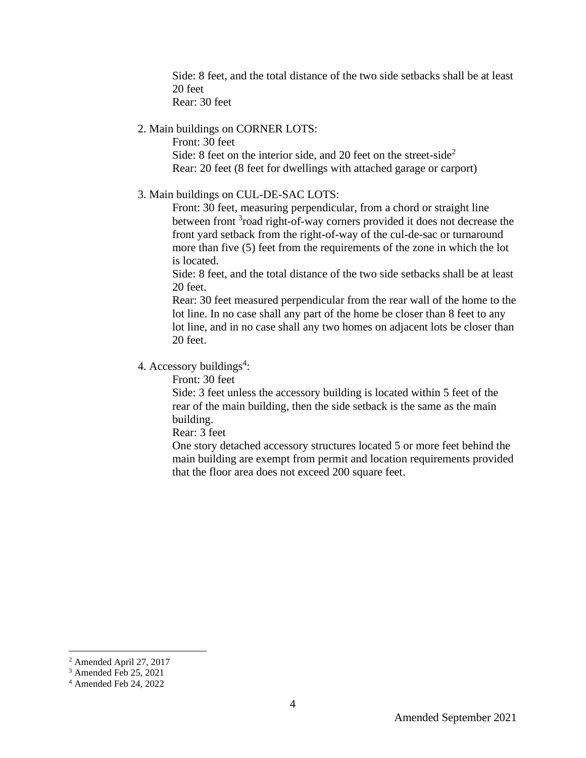Side: 8 feet, and the total distance of the two side setbacks shall be at least 20 feet

Rear: 30 feet

## 2. Main buildings on CORNER LOTS:

Front: 30 feet Side: 8 feet on the interior side, and 20 feet on the street-side<sup>2</sup> Rear: 20 feet (8 feet for dwellings with attached garage or carport)

#### 3. Main buildings on CUL-DE-SAC LOTS:

Front: 30 feet, measuring perpendicular, from a chord or straight line between front <sup>3</sup>road right-of-way corners provided it does not decrease the front yard setback from the right-of-way of the cul-de-sac or turnaround more than five (5) feet from the requirements of the zone in which the lot is located.

Side: 8 feet, and the total distance of the two side setbacks shall be at least 20 feet.

Rear: 30 feet measured perpendicular from the rear wall of the home to the lot line. In no case shall any part of the home be closer than 8 feet to any lot line, and in no case shall any two homes on adjacent lots be closer than 20 feet.

# 4. Accessory buildings<sup>4</sup>:

Front: 30 feet

Side: 3 feet unless the accessory building is located within 5 feet of the rear of the main building, then the side setback is the same as the main building.

Rear: 3 feet

One story detached accessory structures located 5 or more feet behind the main building are exempt from permit and location requirements provided that the floor area does not exceed 200 square feet.

<sup>2</sup> Amended April 27, 2017

<sup>&</sup>lt;sup>3</sup> Amended Feb 25, 2021

<sup>4</sup> Amended Feb 24, 2022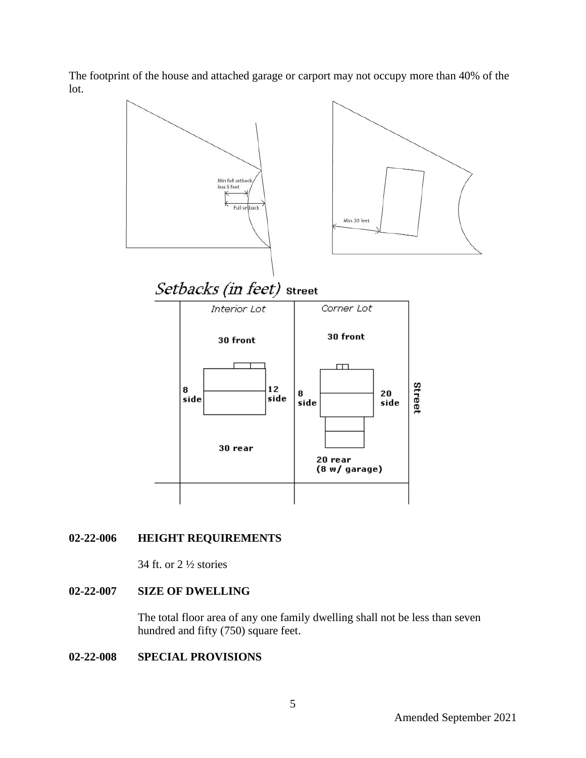The footprint of the house and attached garage or carport may not occupy more than 40% of the lot.



# **02-22-006 HEIGHT REQUIREMENTS**

34 ft. or 2 ½ stories

## **02-22-007 SIZE OF DWELLING**

The total floor area of any one family dwelling shall not be less than seven hundred and fifty (750) square feet.

## **02-22-008 SPECIAL PROVISIONS**